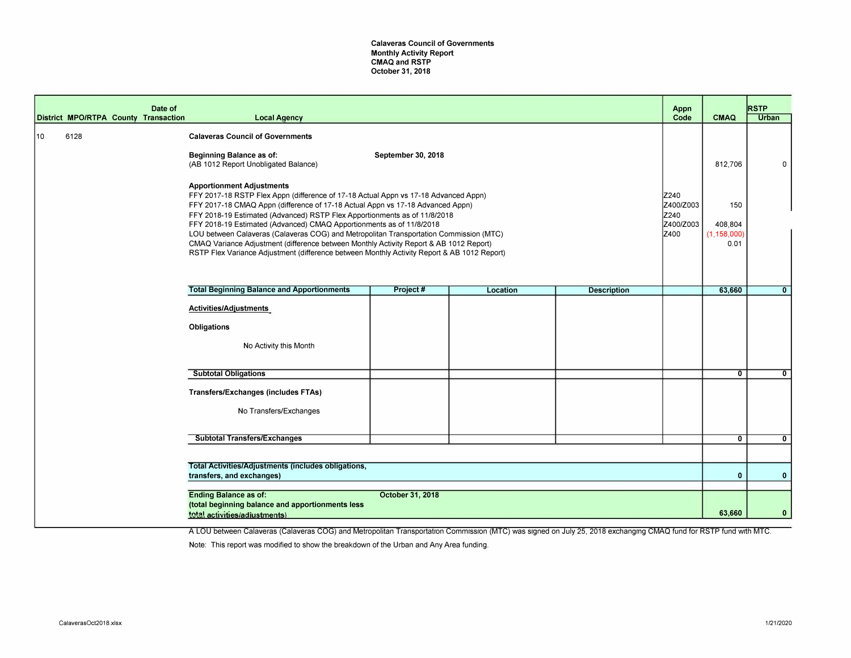**Calaveras Council of Governments Monthly Activity Report CMAQ and RSTP October 31, 2018** 

|    |      | Date of<br>District MPO/RTPA County Transaction | <b>Local Agency</b>                                                                                                                                                                                                                                                                                                                                                                                                                                                                                                                                                                                                                               |                    |          |                    | Appn<br>Code                                   | <b>CMAQ</b>                             | <b>RSTP</b><br><b>Urban</b> |
|----|------|-------------------------------------------------|---------------------------------------------------------------------------------------------------------------------------------------------------------------------------------------------------------------------------------------------------------------------------------------------------------------------------------------------------------------------------------------------------------------------------------------------------------------------------------------------------------------------------------------------------------------------------------------------------------------------------------------------------|--------------------|----------|--------------------|------------------------------------------------|-----------------------------------------|-----------------------------|
| 10 | 6128 |                                                 | <b>Calaveras Council of Governments</b><br>Beginning Balance as of:<br>(AB 1012 Report Unobligated Balance)                                                                                                                                                                                                                                                                                                                                                                                                                                                                                                                                       | September 30, 2018 |          |                    |                                                | 812,706                                 | n                           |
|    |      |                                                 | <b>Apportionment Adjustments</b><br>FFY 2017-18 RSTP Flex Appn (difference of 17-18 Actual Appn vs 17-18 Advanced Appn)<br>FFY 2017-18 CMAQ Appn (difference of 17-18 Actual Appn vs 17-18 Advanced Appn)<br>FFY 2018-19 Estimated (Advanced) RSTP Flex Apportionments as of 11/8/2018<br>FFY 2018-19 Estimated (Advanced) CMAQ Apportionments as of 11/8/2018<br>LOU between Calaveras (Calaveras COG) and Metropolitan Transportation Commission (MTC)<br>CMAQ Variance Adjustment (difference between Monthly Activity Report & AB 1012 Report)<br>RSTP Flex Variance Adjustment (difference between Monthly Activity Report & AB 1012 Report) |                    |          |                    | Z240<br>Z400/Z003<br>Z240<br>Z400/Z003<br>Z400 | 150<br>408,804<br>(1, 158, 000)<br>0.01 |                             |
|    |      |                                                 | <b>Total Beginning Balance and Apportionments</b>                                                                                                                                                                                                                                                                                                                                                                                                                                                                                                                                                                                                 | Project#           | Location | <b>Description</b> |                                                | 63,660                                  | $\mathbf{0}$                |
|    |      |                                                 | Activities/Adjustments<br><b>Obligations</b><br>No Activity this Month                                                                                                                                                                                                                                                                                                                                                                                                                                                                                                                                                                            |                    |          |                    |                                                |                                         |                             |
|    |      |                                                 | <b>Subtotal Obligations</b>                                                                                                                                                                                                                                                                                                                                                                                                                                                                                                                                                                                                                       |                    |          |                    |                                                | $\overline{0}$                          | $\mathbf{0}$                |
|    |      |                                                 | <b>Transfers/Exchanges (includes FTAs)</b><br>No Transfers/Exchanges                                                                                                                                                                                                                                                                                                                                                                                                                                                                                                                                                                              |                    |          |                    |                                                |                                         |                             |
|    |      |                                                 | <b>Subtotal Transfers/Exchanges</b>                                                                                                                                                                                                                                                                                                                                                                                                                                                                                                                                                                                                               |                    |          |                    |                                                | $\mathbf{0}$                            | $\mathbf{0}$                |
|    |      |                                                 |                                                                                                                                                                                                                                                                                                                                                                                                                                                                                                                                                                                                                                                   |                    |          |                    |                                                |                                         |                             |
|    |      |                                                 | Total Activities/Adjustments (includes obligations,<br>transfers, and exchanges)                                                                                                                                                                                                                                                                                                                                                                                                                                                                                                                                                                  |                    |          |                    |                                                | $\mathbf{0}$                            | $\mathbf{0}$                |
|    |      |                                                 | <b>Ending Balance as of:</b><br>(total beginning balance and apportionments less<br>total activities/adjustments)                                                                                                                                                                                                                                                                                                                                                                                                                                                                                                                                 | October 31, 2018   |          |                    |                                                | 63,660                                  | $\mathbf{0}$                |

A LOU between Calaveras (Calaveras COG) and Metropolitan Transportation Commission (MTC) was signed on July 25, 2018 exchanging CMAQ fund for RSTP fund with MTC.

Note: This report was modified to show the breakdown of the Urban and Any Area funding.